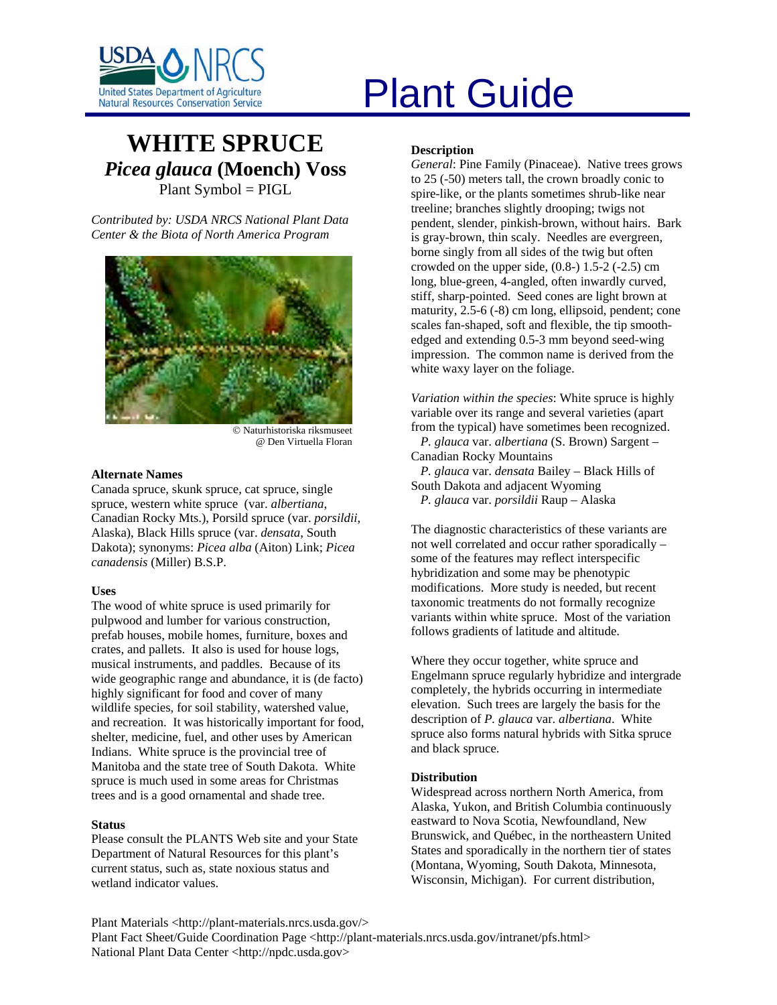

# United States Department of Agriculture<br>Natural Resources Conservation Service

# **WHITE SPRUCE** *Picea glauca* **(Moench) Voss**  Plant Symbol = PIGL

*Contributed by: USDA NRCS National Plant Data Center & the Biota of North America Program* 



© Naturhistoriska riksmuseet @ Den Virtuella Floran

# **Alternate Names**

Canada spruce, skunk spruce, cat spruce, single spruce, western white spruce (var. *albertiana*, Canadian Rocky Mts.), Porsild spruce (var. *porsildii*, Alaska), Black Hills spruce (var. *densata*, South Dakota); synonyms: *Picea alba* (Aiton) Link; *Picea canadensis* (Miller) B.S.P.

# **Uses**

The wood of white spruce is used primarily for pulpwood and lumber for various construction, prefab houses, mobile homes, furniture, boxes and crates, and pallets. It also is used for house logs, musical instruments, and paddles. Because of its wide geographic range and abundance, it is (de facto) highly significant for food and cover of many wildlife species, for soil stability, watershed value, and recreation. It was historically important for food, shelter, medicine, fuel, and other uses by American Indians. White spruce is the provincial tree of Manitoba and the state tree of South Dakota. White spruce is much used in some areas for Christmas trees and is a good ornamental and shade tree.

# **Status**

Please consult the PLANTS Web site and your State Department of Natural Resources for this plant's current status, such as, state noxious status and wetland indicator values.

# **Description**

*General*: Pine Family (Pinaceae). Native trees grows to 25 (-50) meters tall, the crown broadly conic to spire-like, or the plants sometimes shrub-like near treeline; branches slightly drooping; twigs not pendent, slender, pinkish-brown, without hairs. Bark is gray-brown, thin scaly. Needles are evergreen, borne singly from all sides of the twig but often crowded on the upper side,  $(0.8-)$  1.5-2  $(-2.5)$  cm long, blue-green, 4-angled, often inwardly curved, stiff, sharp-pointed. Seed cones are light brown at maturity, 2.5-6 (-8) cm long, ellipsoid, pendent; cone scales fan-shaped, soft and flexible, the tip smoothedged and extending 0.5-3 mm beyond seed-wing impression. The common name is derived from the white waxy layer on the foliage.

*Variation within the species*: White spruce is highly variable over its range and several varieties (apart from the typical) have sometimes been recognized.

 *P. glauca* var. *albertiana* (S. Brown) Sargent – Canadian Rocky Mountains

 *P. glauca* var. *densata* Bailey – Black Hills of South Dakota and adjacent Wyoming *P. glauca* var. *porsildii* Raup – Alaska

The diagnostic characteristics of these variants are not well correlated and occur rather sporadically – some of the features may reflect interspecific hybridization and some may be phenotypic modifications. More study is needed, but recent taxonomic treatments do not formally recognize variants within white spruce. Most of the variation follows gradients of latitude and altitude.

Where they occur together, white spruce and Engelmann spruce regularly hybridize and intergrade completely, the hybrids occurring in intermediate elevation. Such trees are largely the basis for the description of *P. glauca* var. *albertiana*. White spruce also forms natural hybrids with Sitka spruce and black spruce.

# **Distribution**

Widespread across northern North America, from Alaska, Yukon, and British Columbia continuously eastward to Nova Scotia, Newfoundland, New Brunswick, and Québec, in the northeastern United States and sporadically in the northern tier of states (Montana, Wyoming, South Dakota, Minnesota, Wisconsin, Michigan). For current distribution,

Plant Materials <http://plant-materials.nrcs.usda.gov/> Plant Fact Sheet/Guide Coordination Page <http://plant-materials.nrcs.usda.gov/intranet/pfs.html> National Plant Data Center <http://npdc.usda.gov>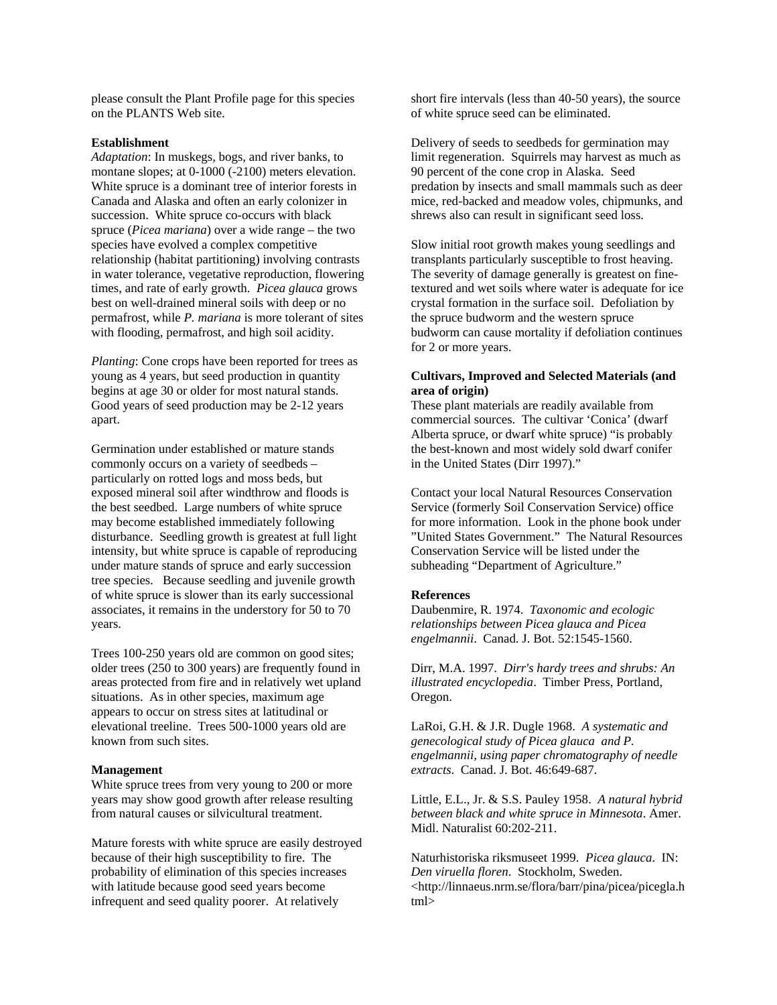please consult the Plant Profile page for this species on the PLANTS Web site.

#### **Establishment**

*Adaptation*: In muskegs, bogs, and river banks, to montane slopes; at 0-1000 (-2100) meters elevation. White spruce is a dominant tree of interior forests in Canada and Alaska and often an early colonizer in succession. White spruce co-occurs with black spruce (*Picea mariana*) over a wide range – the two species have evolved a complex competitive relationship (habitat partitioning) involving contrasts in water tolerance, vegetative reproduction, flowering times, and rate of early growth. *Picea glauca* grows best on well-drained mineral soils with deep or no permafrost, while *P. mariana* is more tolerant of sites with flooding, permafrost, and high soil acidity.

*Planting*: Cone crops have been reported for trees as young as 4 years, but seed production in quantity begins at age 30 or older for most natural stands. Good years of seed production may be 2-12 years apart.

Germination under established or mature stands commonly occurs on a variety of seedbeds – particularly on rotted logs and moss beds, but exposed mineral soil after windthrow and floods is the best seedbed. Large numbers of white spruce may become established immediately following disturbance. Seedling growth is greatest at full light intensity, but white spruce is capable of reproducing under mature stands of spruce and early succession tree species. Because seedling and juvenile growth of white spruce is slower than its early successional associates, it remains in the understory for 50 to 70 years.

Trees 100-250 years old are common on good sites; older trees (250 to 300 years) are frequently found in areas protected from fire and in relatively wet upland situations. As in other species, maximum age appears to occur on stress sites at latitudinal or elevational treeline. Trees 500-1000 years old are known from such sites.

#### **Management**

White spruce trees from very young to 200 or more years may show good growth after release resulting from natural causes or silvicultural treatment.

Mature forests with white spruce are easily destroyed because of their high susceptibility to fire. The probability of elimination of this species increases with latitude because good seed years become infrequent and seed quality poorer. At relatively

short fire intervals (less than 40-50 years), the source of white spruce seed can be eliminated.

Delivery of seeds to seedbeds for germination may limit regeneration. Squirrels may harvest as much as 90 percent of the cone crop in Alaska. Seed predation by insects and small mammals such as deer mice, red-backed and meadow voles, chipmunks, and shrews also can result in significant seed loss.

Slow initial root growth makes young seedlings and transplants particularly susceptible to frost heaving. The severity of damage generally is greatest on finetextured and wet soils where water is adequate for ice crystal formation in the surface soil. Defoliation by the spruce budworm and the western spruce budworm can cause mortality if defoliation continues for 2 or more years.

# **Cultivars, Improved and Selected Materials (and area of origin)**

These plant materials are readily available from commercial sources. The cultivar 'Conica' (dwarf Alberta spruce, or dwarf white spruce) "is probably the best-known and most widely sold dwarf conifer in the United States (Dirr 1997)."

Contact your local Natural Resources Conservation Service (formerly Soil Conservation Service) office for more information. Look in the phone book under "United States Government." The Natural Resources Conservation Service will be listed under the subheading "Department of Agriculture."

#### **References**

Daubenmire, R. 1974. *Taxonomic and ecologic relationships between Picea glauca and Picea engelmannii*. Canad. J. Bot. 52:1545-1560.

Dirr, M.A. 1997. *Dirr's hardy trees and shrubs: An illustrated encyclopedia*. Timber Press, Portland, Oregon.

LaRoi, G.H. & J.R. Dugle 1968. *A systematic and genecological study of Picea glauca and P. engelmannii, using paper chromatography of needle extracts*. Canad. J. Bot. 46:649-687.

Little, E.L., Jr. & S.S. Pauley 1958. *A natural hybrid between black and white spruce in Minnesota*. Amer. Midl. Naturalist 60:202-211.

Naturhistoriska riksmuseet 1999. *Picea glauca*. IN: *Den viruella floren*. Stockholm, Sweden. <http://linnaeus.nrm.se/flora/barr/pina/picea/picegla.h tml>